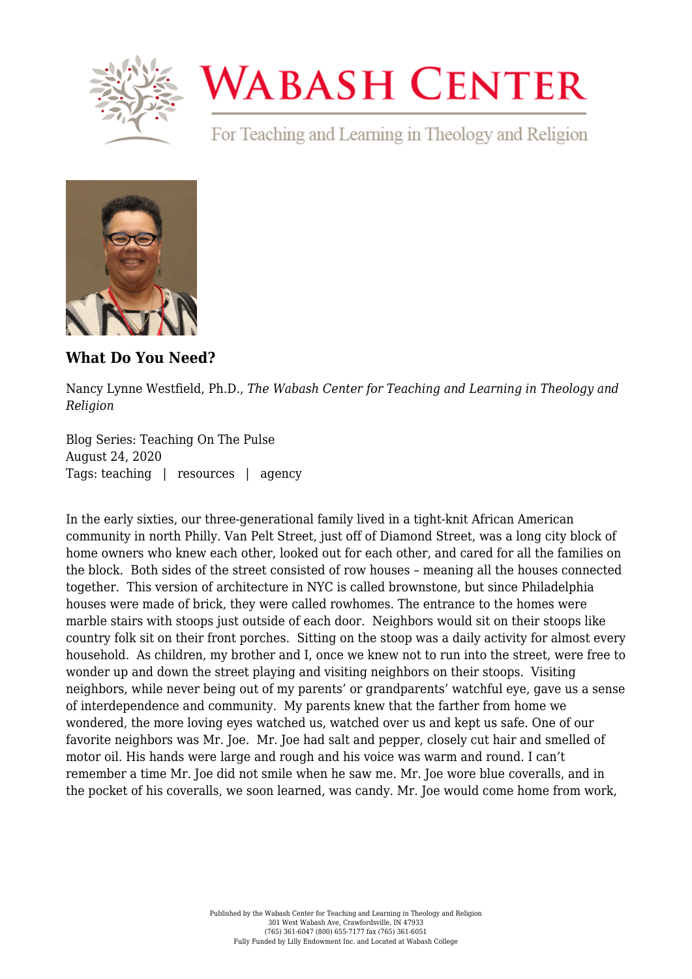

## **WABASH CENTER**

For Teaching and Learning in Theology and Religion



**[What Do You Need?](https://www.wabashcenter.wabash.edu/2020/08/what-do-you-need/)**

Nancy Lynne Westfield, Ph.D., *The Wabash Center for Teaching and Learning in Theology and Religion*

Blog Series: Teaching On The Pulse August 24, 2020 Tags: teaching | resources | agency

In the early sixties, our three-generational family lived in a tight-knit African American community in north Philly. Van Pelt Street, just off of Diamond Street, was a long city block of home owners who knew each other, looked out for each other, and cared for all the families on the block. Both sides of the street consisted of row houses – meaning all the houses connected together. This version of architecture in NYC is called brownstone, but since Philadelphia houses were made of brick, they were called rowhomes. The entrance to the homes were marble stairs with stoops just outside of each door. Neighbors would sit on their stoops like country folk sit on their front porches. Sitting on the stoop was a daily activity for almost every household. As children, my brother and I, once we knew not to run into the street, were free to wonder up and down the street playing and visiting neighbors on their stoops. Visiting neighbors, while never being out of my parents' or grandparents' watchful eye, gave us a sense of interdependence and community. My parents knew that the farther from home we wondered, the more loving eyes watched us, watched over us and kept us safe. One of our favorite neighbors was Mr. Joe. Mr. Joe had salt and pepper, closely cut hair and smelled of motor oil. His hands were large and rough and his voice was warm and round. I can't remember a time Mr. Joe did not smile when he saw me. Mr. Joe wore blue coveralls, and in the pocket of his coveralls, we soon learned, was candy. Mr. Joe would come home from work,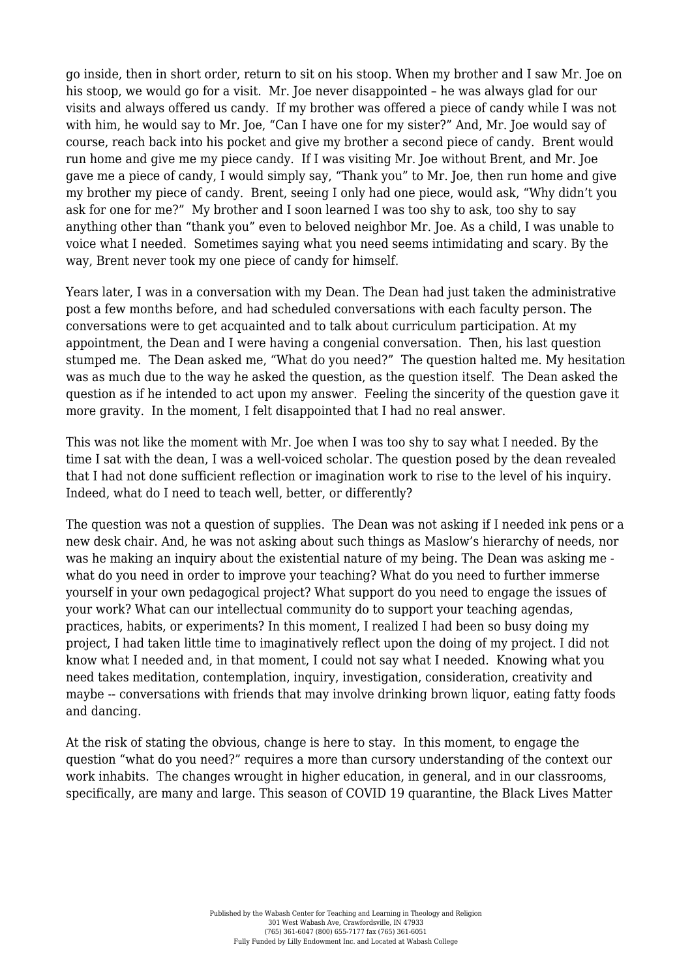go inside, then in short order, return to sit on his stoop. When my brother and I saw Mr. Joe on his stoop, we would go for a visit. Mr. Joe never disappointed – he was always glad for our visits and always offered us candy. If my brother was offered a piece of candy while I was not with him, he would say to Mr. Joe, "Can I have one for my sister?" And, Mr. Joe would say of course, reach back into his pocket and give my brother a second piece of candy. Brent would run home and give me my piece candy. If I was visiting Mr. Joe without Brent, and Mr. Joe gave me a piece of candy, I would simply say, "Thank you" to Mr. Joe, then run home and give my brother my piece of candy. Brent, seeing I only had one piece, would ask, "Why didn't you ask for one for me?" My brother and I soon learned I was too shy to ask, too shy to say anything other than "thank you" even to beloved neighbor Mr. Joe. As a child, I was unable to voice what I needed. Sometimes saying what you need seems intimidating and scary. By the way, Brent never took my one piece of candy for himself.

Years later, I was in a conversation with my Dean. The Dean had just taken the administrative post a few months before, and had scheduled conversations with each faculty person. The conversations were to get acquainted and to talk about curriculum participation. At my appointment, the Dean and I were having a congenial conversation. Then, his last question stumped me. The Dean asked me, "What do you need?" The question halted me. My hesitation was as much due to the way he asked the question, as the question itself. The Dean asked the question as if he intended to act upon my answer. Feeling the sincerity of the question gave it more gravity. In the moment, I felt disappointed that I had no real answer.

This was not like the moment with Mr. Joe when I was too shy to say what I needed. By the time I sat with the dean, I was a well-voiced scholar. The question posed by the dean revealed that I had not done sufficient reflection or imagination work to rise to the level of his inquiry. Indeed, what do I need to teach well, better, or differently?

The question was not a question of supplies. The Dean was not asking if I needed ink pens or a new desk chair. And, he was not asking about such things as Maslow's hierarchy of needs, nor was he making an inquiry about the existential nature of my being. The Dean was asking me what do you need in order to improve your teaching? What do you need to further immerse yourself in your own pedagogical project? What support do you need to engage the issues of your work? What can our intellectual community do to support your teaching agendas, practices, habits, or experiments? In this moment, I realized I had been so busy doing my project, I had taken little time to imaginatively reflect upon the doing of my project. I did not know what I needed and, in that moment, I could not say what I needed. Knowing what you need takes meditation, contemplation, inquiry, investigation, consideration, creativity and maybe -- conversations with friends that may involve drinking brown liquor, eating fatty foods and dancing.

At the risk of stating the obvious, change is here to stay. In this moment, to engage the question "what do you need?" requires a more than cursory understanding of the context our work inhabits. The changes wrought in higher education, in general, and in our classrooms, specifically, are many and large. This season of COVID 19 quarantine, the Black Lives Matter